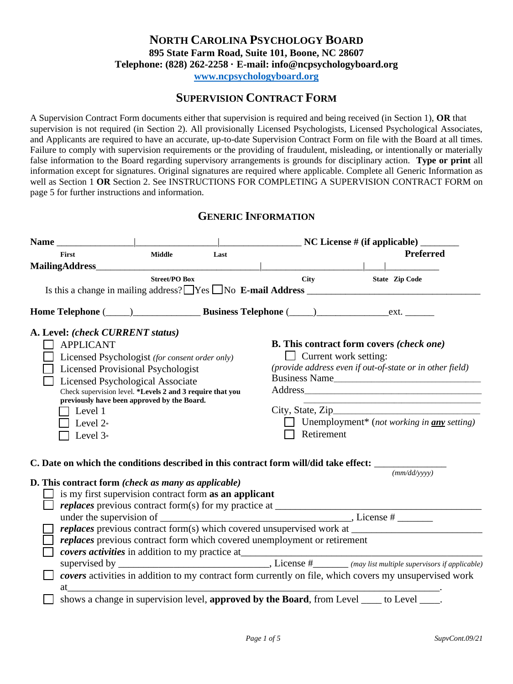# **NORTH CAROLINA PSYCHOLOGY BOARD 895 State Farm Road, Suite 101, Boone, NC 28607 Telephone: (828) 262-2258 · E-mail: info@ncpsychologyboard.org**

**[www.ncpsychologyboard.org](http://www.ncpsychologyboard.org/)**

## **SUPERVISION CONTRACT FORM**

A Supervision Contract Form documents either that supervision is required and being received (in Section 1), **OR** that supervision is not required (in Section 2). All provisionally Licensed Psychologists, Licensed Psychological Associates, and Applicants are required to have an accurate, up-to-date Supervision Contract Form on file with the Board at all times. Failure to comply with supervision requirements or the providing of fraudulent, misleading, or intentionally or materially false information to the Board regarding supervisory arrangements is grounds for disciplinary action. **Type or print** all information except for signatures. Original signatures are required where applicable. Complete all Generic Information as well as Section 1 OR Section 2. See INSTRUCTIONS FOR COMPLETING A SUPERVISION CONTRACT FORM on page 5 for further instructions and information.

## **GENERIC INFORMATION**

|                                                                                                                                                                                                                                                                                                                                                   | $\_$ NC License # (if applicable) $\_\_$ |      |                                                                                               |                       |                                                                                                                                            |
|---------------------------------------------------------------------------------------------------------------------------------------------------------------------------------------------------------------------------------------------------------------------------------------------------------------------------------------------------|------------------------------------------|------|-----------------------------------------------------------------------------------------------|-----------------------|--------------------------------------------------------------------------------------------------------------------------------------------|
| First                                                                                                                                                                                                                                                                                                                                             | <b>Middle</b>                            | Last |                                                                                               |                       | Preferred                                                                                                                                  |
|                                                                                                                                                                                                                                                                                                                                                   |                                          |      |                                                                                               |                       |                                                                                                                                            |
|                                                                                                                                                                                                                                                                                                                                                   | <b>Street/PO Box</b>                     |      | City                                                                                          | <b>State Zip Code</b> |                                                                                                                                            |
| Home Telephone (Campana Languardian Business Telephone (Campana Languardian Languardian Languardian Languardian Languardian Languardian Languardian Languardian Languardian Languardian Languardian Languardian Languardian La                                                                                                                    |                                          |      |                                                                                               |                       |                                                                                                                                            |
| A. Level: (check CURRENT status)<br><b>APPLICANT</b><br>Licensed Psychologist (for consent order only)<br><b>Licensed Provisional Psychologist</b><br>Licensed Psychological Associate<br>Check supervision level. *Levels 2 and 3 require that you<br>previously have been approved by the Board.<br>$\top$ Level 1<br>Level $2^*$<br>Level $3*$ |                                          |      | <b>B.</b> This contract form covers (check one)<br>$\Box$ Current work setting:<br>Retirement |                       | (provide address even if out-of-state or in other field)<br>Business Name<br>Unemployment <sup>*</sup> (not working in <b>any</b> setting) |
| C. Date on which the conditions described in this contract form will/did take effect: _____________                                                                                                                                                                                                                                               |                                          |      |                                                                                               |                       |                                                                                                                                            |
| D. This contract form (check as many as applicable)                                                                                                                                                                                                                                                                                               |                                          |      |                                                                                               |                       | (mm/dd/vyyy)                                                                                                                               |
| is my first supervision contract form as an applicant                                                                                                                                                                                                                                                                                             |                                          |      |                                                                                               |                       |                                                                                                                                            |
|                                                                                                                                                                                                                                                                                                                                                   |                                          |      |                                                                                               |                       |                                                                                                                                            |
|                                                                                                                                                                                                                                                                                                                                                   |                                          |      | replaces previous contract form which covered unemployment or retirement                      |                       |                                                                                                                                            |
|                                                                                                                                                                                                                                                                                                                                                   |                                          |      |                                                                                               |                       |                                                                                                                                            |
| at                                                                                                                                                                                                                                                                                                                                                |                                          |      |                                                                                               |                       | covers activities in addition to my contract form currently on file, which covers my unsupervised work                                     |
|                                                                                                                                                                                                                                                                                                                                                   |                                          |      | shows a change in supervision level, approved by the Board, from Level ____ to Level ____.    |                       |                                                                                                                                            |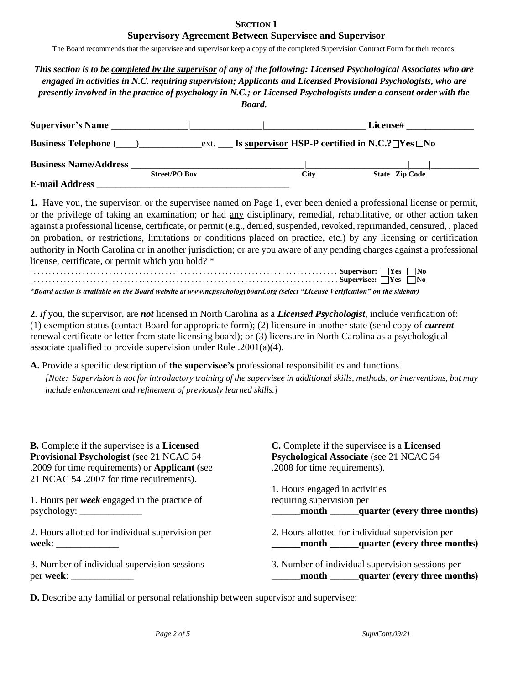#### **SECTION 1 Supervisory Agreement Between Supervisee and Supervisor**

The Board recommends that the supervisee and supervisor keep a copy of the completed Supervision Contract Form for their records.

| This section is to be completed by the supervisor of any of the following: Licensed Psychological Associates who are<br>engaged in activities in N.C. requiring supervision; Applicants and Licensed Provisional Psychologists, who are<br>presently involved in the practice of psychology in N.C.; or Licensed Psychologists under a consent order with the<br><b>Board.</b> |
|--------------------------------------------------------------------------------------------------------------------------------------------------------------------------------------------------------------------------------------------------------------------------------------------------------------------------------------------------------------------------------|
| <b>License#</b>                                                                                                                                                                                                                                                                                                                                                                |
| <b>Business Telephone</b> ( $\qquad$ ) ext. <b>Is supervisor HSP-P certified in N.C.?</b> The SNO                                                                                                                                                                                                                                                                              |
| <b>State Zip Code</b><br><b>City</b>                                                                                                                                                                                                                                                                                                                                           |
|                                                                                                                                                                                                                                                                                                                                                                                |

**1.** Have you, the supervisor, or the supervisee named on Page 1, ever been denied a professional license or permit, or the privilege of taking an examination; or had any disciplinary, remedial, rehabilitative, or other action taken against a professional license, certificate, or permit (e.g., denied, suspended, revoked, reprimanded, censured, , placed on probation, or restrictions, limitations or conditions placed on practice, etc.) by any licensing or certification authority in North Carolina or in another jurisdiction; or are you aware of any pending charges against a professional license, certificate, or permit which you hold? \*

|  | $\Delta \mathbf{D}$ , and the set of $\mathbf{D}$ , and $\mathbf{D}$ , and $\mathbf{D}$ , and $\mathbf{D}$ , and $\mathbf{D}$ , and $\mathbf{D}$ , and $\mathbf{D}$ , and $\mathbf{D}$ , and $\mathbf{D}$ , and $\mathbf{D}$ , and $\mathbf{D}$ , and $\mathbf{D}$ , and $\mathbf{D}$ , an |  |
|--|--------------------------------------------------------------------------------------------------------------------------------------------------------------------------------------------------------------------------------------------------------------------------------------------|--|

*\*Board action is available on the Board website at www.ncpsychologyboard.org (select "License Verification" on the sidebar)*

**2.** *If* you, the supervisor, are *not* licensed in North Carolina as a *Licensed Psychologist*, include verification of: (1) exemption status (contact Board for appropriate form); (2) licensure in another state (send copy of *current* renewal certificate or letter from state licensing board); or (3) licensure in North Carolina as a psychological associate qualified to provide supervision under Rule .2001(a)(4).

**A.** Provide a specific description of **the supervisee's** professional responsibilities and functions.

*[Note: Supervision is not for introductory training of the supervisee in additional skills, methods, or interventions, but may include enhancement and refinement of previously learned skills.]*

| <b>B.</b> Complete if the supervisee is a <b>Licensed</b><br>Provisional Psychologist (see 21 NCAC 54<br>.2009 for time requirements) or Applicant (see<br>21 NCAC 54 .2007 for time requirements). | C. Complete if the supervisee is a <b>Licensed</b><br>Psychological Associate (see 21 NCAC 54<br>.2008 for time requirements). |
|-----------------------------------------------------------------------------------------------------------------------------------------------------------------------------------------------------|--------------------------------------------------------------------------------------------------------------------------------|
| 1. Hours per <i>week</i> engaged in the practice of<br>$psychology: \_\_$                                                                                                                           | 1. Hours engaged in activities<br>requiring supervision per<br>month quarter (every three months)                              |
| 2. Hours allotted for individual supervision per                                                                                                                                                    | 2. Hours allotted for individual supervision per                                                                               |
|                                                                                                                                                                                                     | _month _______quarter (every three months)                                                                                     |
| 3. Number of individual supervision sessions                                                                                                                                                        | 3. Number of individual supervision sessions per                                                                               |
|                                                                                                                                                                                                     | _month ______quarter (every three months)                                                                                      |

**D.** Describe any familial or personal relationship between supervisor and supervisee: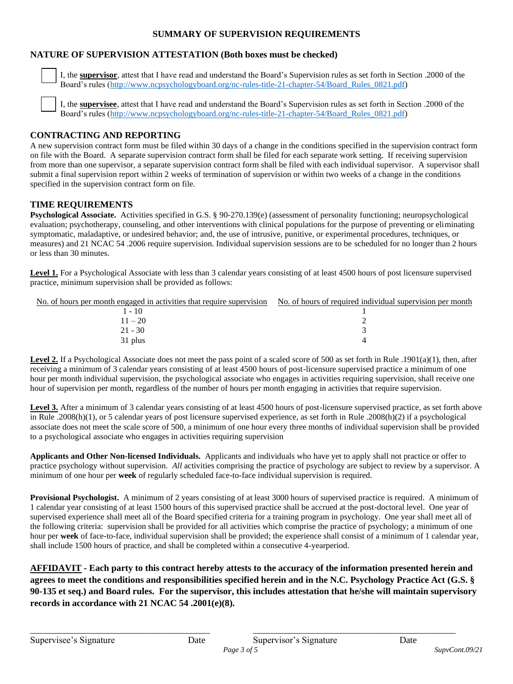#### **SUMMARY OF SUPERVISION REQUIREMENTS**

#### **NATURE OF SUPERVISION ATTESTATION (Both boxes must be checked)**

 I, the **supervisor**, attest that I have read and understand the Board's Supervision rules as set forth in Section .2000 of the Board's rules [\(http://www.ncpsychologyboard.org/nc-rules-title-21-chapter-54/Board\\_Rules\\_0821.pdf\)](http://www.ncpsychologyboard.org/nc-rules-title-21-chapter-54/Board_Rules_0821.pdf)

 I, the **supervisee**, attest that I have read and understand the Board's Supervision rules as set forth in Section .2000 of the Board's rules [\(http://www.ncpsychologyboard.org/nc-rules-title-21-chapter-54/Board\\_Rules\\_0821.pdf\)](http://www.ncpsychologyboard.org/nc-rules-title-21-chapter-54/Board_Rules_0821.pdf)

#### **CONTRACTING AND REPORTING**

A new supervision contract form must be filed within 30 days of a change in the conditions specified in the supervision contract form on file with the Board. A separate supervision contract form shall be filed for each separate work setting. If receiving supervision from more than one supervisor, a separate supervision contract form shall be filed with each individual supervisor. A supervisor shall submit a final supervision report within 2 weeks of termination of supervision or within two weeks of a change in the conditions specified in the supervision contract form on file.

#### **TIME REQUIREMENTS**

**Psychological Associate.** Activities specified in G.S. § 90-270.139(e) (assessment of personality functioning; neuropsychological evaluation; psychotherapy, counseling, and other interventions with clinical populations for the purpose of preventing or eliminating symptomatic, maladaptive, or undesired behavior; and, the use of intrusive, punitive, or experimental procedures, techniques, or measures) and 21 NCAC 54 .2006 require supervision. Individual supervision sessions are to be scheduled for no longer than 2 hours or less than 30 minutes.

Level 1. For a Psychological Associate with less than 3 calendar years consisting of at least 4500 hours of post licensure supervised practice, minimum supervision shall be provided as follows:

| No. of hours per month engaged in activities that require supervision | No. of hours of required individual supervision per month |
|-----------------------------------------------------------------------|-----------------------------------------------------------|
| l - 10                                                                |                                                           |
| $11 - 20$                                                             |                                                           |
| $21 - 30$                                                             |                                                           |
| 31 plus                                                               |                                                           |

Level 2. If a Psychological Associate does not meet the pass point of a scaled score of 500 as set forth in Rule .1901(a)(1), then, after receiving a minimum of 3 calendar years consisting of at least 4500 hours of post-licensure supervised practice a minimum of one hour per month individual supervision, the psychological associate who engages in activities requiring supervision, shall receive one hour of supervision per month, regardless of the number of hours per month engaging in activities that require supervision.

Level 3. After a minimum of 3 calendar years consisting of at least 4500 hours of post-licensure supervised practice, as set forth above in Rule .2008(h)(1), or 5 calendar years of post licensure supervised experience, as set forth in Rule .2008(h)(2) if a psychological associate does not meet the scale score of 500, a minimum of one hour every three months of individual supervision shall be provided to a psychological associate who engages in activities requiring supervision

**Applicants and Other Non-licensed Individuals.** Applicants and individuals who have yet to apply shall not practice or offer to practice psychology without supervision. *All* activities comprising the practice of psychology are subject to review by a supervisor. A minimum of one hour per **week** of regularly scheduled face-to-face individual supervision is required.

**Provisional Psychologist.** A minimum of 2 years consisting of at least 3000 hours of supervised practice is required. A minimum of 1 calendar year consisting of at least 1500 hours of this supervised practice shall be accrued at the post-doctoral level. One year of supervised experience shall meet all of the Board specified criteria for a training program in psychology. One year shall meet all of the following criteria: supervision shall be provided for all activities which comprise the practice of psychology; a minimum of one hour per **week** of face-to-face, individual supervision shall be provided; the experience shall consist of a minimum of 1 calendar year, shall include 1500 hours of practice, and shall be completed within a consecutive 4-yearperiod.

**AFFIDAVIT - Each party to this contract hereby attests to the accuracy of the information presented herein and agrees to meet the conditions and responsibilities specified herein and in the N.C. Psychology Practice Act (G.S. § 90-135 et seq.) and Board rules. For the supervisor, this includes attestation that he/she will maintain supervisory records in accordance with 21 NCAC 54 .2001(e)(8).** 

\_\_\_\_\_\_\_\_\_\_\_\_\_\_\_\_\_\_\_\_\_\_\_\_\_\_\_\_\_\_\_\_\_\_\_\_\_\_\_ \_\_\_\_\_\_\_\_\_\_\_\_\_\_\_\_\_\_\_\_\_\_\_\_\_\_\_\_\_\_\_\_\_\_\_\_\_\_\_\_\_\_\_\_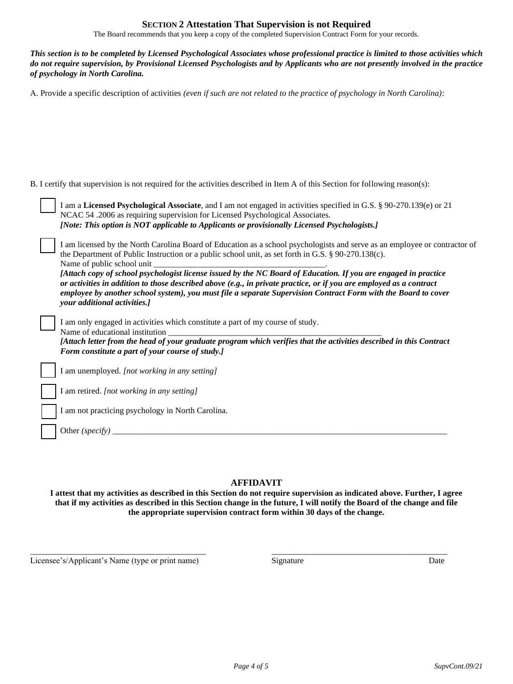#### **SECTION 2 Attestation That Supervision is not Required**

The Board recommends that you keep a copy of the completed Supervision Contract Form for your records.

*This section is to be completed by Licensed Psychological Associates whose professional practice is limited to those activities which do not require supervision, by Provisional Licensed Psychologists and by Applicants who are not presently involved in the practice of psychology in North Carolina.* 

A. Provide a specific description of activities *(even if such are not related to the practice of psychology in North Carolina)*:

B. I certify that supervision is not required for the activities described in Item A of this Section for following reason(s):

| I am a Licensed Psychological Associate, and I am not engaged in activities specified in G.S. § 90-270.139(e) or 21<br>NCAC 54 .2006 as requiring supervision for Licensed Psychological Associates.<br>[Note: This option is NOT applicable to Applicants or provisionally Licensed Psychologists.]                                                                               |
|------------------------------------------------------------------------------------------------------------------------------------------------------------------------------------------------------------------------------------------------------------------------------------------------------------------------------------------------------------------------------------|
| I am licensed by the North Carolina Board of Education as a school psychologists and serve as an employee or contractor of<br>the Department of Public Instruction or a public school unit, as set forth in G.S. § 90-270.138(c).<br>Name of public school unit<br>[Attach copy of school psychologist license issued by the NC Board of Education. If you are engaged in practice |
| or activities in addition to those described above $(e.g., in private practice, or if you are employed as a contract)$<br>employee by another school system), you must file a separate Supervision Contract Form with the Board to cover<br>your additional activities.]                                                                                                           |
| I am only engaged in activities which constitute a part of my course of study.<br>Name of educational institution<br>[Attach letter from the head of your graduate program which verifies that the activities described in this Contract<br>Form constitute a part of your course of study.]                                                                                       |
| I am unemployed. [not working in any setting]                                                                                                                                                                                                                                                                                                                                      |
| I am retired. <i>[not working in any setting]</i>                                                                                                                                                                                                                                                                                                                                  |
| I am not practicing psychology in North Carolina.                                                                                                                                                                                                                                                                                                                                  |
| Other (specify)                                                                                                                                                                                                                                                                                                                                                                    |

#### **AFFIDAVIT**

**I attest that my activities as described in this Section do not require supervision as indicated above. Further, I agree that if my activities as described in this Section change in the future, I will notify the Board of the change and file the appropriate supervision contract form within 30 days of the change.**

\_\_\_\_\_\_\_\_\_\_\_\_\_\_\_\_\_\_\_\_\_\_\_\_\_\_\_\_\_\_\_\_\_\_\_\_\_\_\_\_\_\_ \_\_\_\_\_\_\_\_\_\_\_\_\_\_\_\_\_\_\_\_\_\_\_\_\_\_\_\_\_\_\_\_\_\_\_\_\_\_\_\_\_\_

Licensee's/Applicant's Name (type or print name) Signature Signature Date